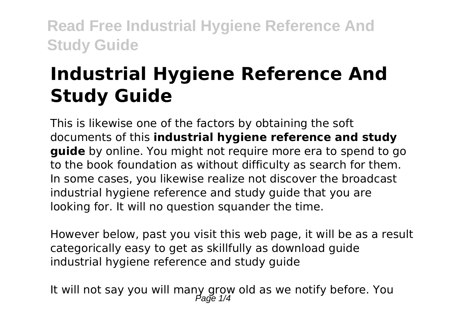# **Industrial Hygiene Reference And Study Guide**

This is likewise one of the factors by obtaining the soft documents of this **industrial hygiene reference and study guide** by online. You might not require more era to spend to go to the book foundation as without difficulty as search for them. In some cases, you likewise realize not discover the broadcast industrial hygiene reference and study guide that you are looking for. It will no question squander the time.

However below, past you visit this web page, it will be as a result categorically easy to get as skillfully as download guide industrial hygiene reference and study guide

It will not say you will many grow old as we notify before. You Page 1/4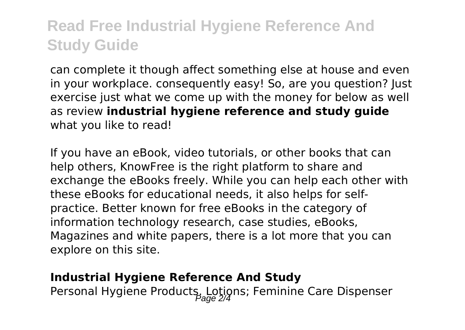can complete it though affect something else at house and even in your workplace. consequently easy! So, are you question? Just exercise just what we come up with the money for below as well as review **industrial hygiene reference and study guide** what you like to read!

If you have an eBook, video tutorials, or other books that can help others, KnowFree is the right platform to share and exchange the eBooks freely. While you can help each other with these eBooks for educational needs, it also helps for selfpractice. Better known for free eBooks in the category of information technology research, case studies, eBooks, Magazines and white papers, there is a lot more that you can explore on this site.

#### **Industrial Hygiene Reference And Study**

Personal Hygiene Products, Lotions; Feminine Care Dispenser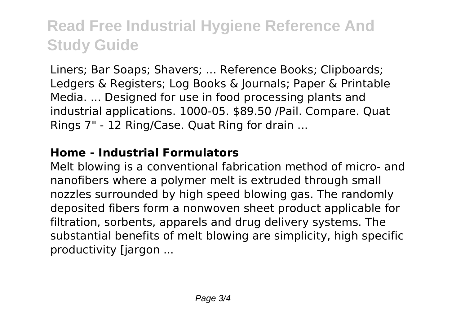Liners; Bar Soaps; Shavers; ... Reference Books; Clipboards; Ledgers & Registers; Log Books & Journals; Paper & Printable Media. ... Designed for use in food processing plants and industrial applications. 1000-05. \$89.50 /Pail. Compare. Quat Rings 7" - 12 Ring/Case. Quat Ring for drain ...

#### **Home - Industrial Formulators**

Melt blowing is a conventional fabrication method of micro- and nanofibers where a polymer melt is extruded through small nozzles surrounded by high speed blowing gas. The randomly deposited fibers form a nonwoven sheet product applicable for filtration, sorbents, apparels and drug delivery systems. The substantial benefits of melt blowing are simplicity, high specific productivity [jargon ...